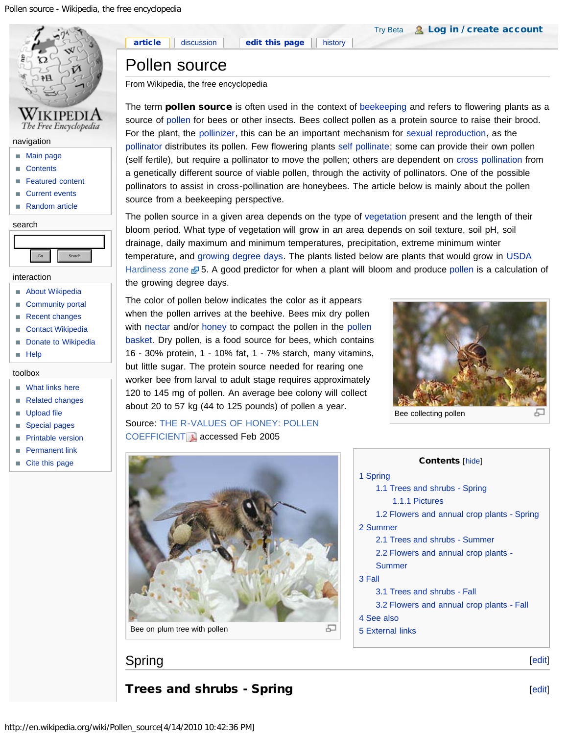<span id="page-0-2"></span>

- **[Featured content](http://en.wikipedia.org/wiki/Portal:Featured_content)**
- [Current events](http://en.wikipedia.org/wiki/Portal:Current_events)
- [Random article](http://en.wikipedia.org/wiki/Special:Random)

#### search



- interaction
- **[About Wikipedia](http://en.wikipedia.org/wiki/Help:About)**
- [Community portal](http://en.wikipedia.org/wiki/Wikipedia:Community_portal)
- [Recent changes](http://en.wikipedia.org/wiki/Special:RecentChanges)
- [Contact Wikipedia](http://en.wikipedia.org/wiki/Wikipedia:Contact_us)
- [Donate to Wikipedia](http://wikimediafoundation.org/wiki/Support_Wikipedia/en)
- **[Help](http://en.wikipedia.org/wiki/Help:Contents)**

#### toolbox

- **Nhat links here**
- [Related changes](http://en.wikipedia.org/wiki/Special:RecentChangesLinked/Pollen_source)
- **[Upload file](http://en.wikipedia.org/wiki/Wikipedia:Upload)**
- [Special pages](http://en.wikipedia.org/wiki/Special:SpecialPages)
- **[Printable version](http://en.wikipedia.org/w/index.php?title=Pollen_source&printable=yes)**
- **[Permanent link](http://en.wikipedia.org/w/index.php?title=Pollen_source&oldid=353530417)**
- [Cite this page](http://en.wikipedia.org/w/index.php?title=Special:Cite&page=Pollen_source&id=353530417)

[Try Beta](http://en.wikipedia.org/w/index.php?title=Special:UsabilityInitiativeOptIn&from=Pollen_source) & [Log in / create account](http://en.wikipedia.org/w/index.php?title=Special:UserLogin&returnto=Pollen_source)

# Pollen source

[article](#page-0-2)

From Wikipedia, the free encyclopedia

The term **pollen source** is often used in the context of [beekeeping](http://en.wikipedia.org/wiki/Beekeeping) and refers to flowering plants as a source of [pollen](http://en.wikipedia.org/wiki/Pollen) for bees or other insects. Bees collect pollen as a protein source to raise their brood. For the plant, the [pollinizer,](http://en.wikipedia.org/wiki/Pollinizer) this can be an important mechanism for [sexual reproduction](http://en.wikipedia.org/wiki/Sexual_reproduction), as the [pollinator](http://en.wikipedia.org/wiki/Pollinator) distributes its pollen. Few flowering plants [self pollinate;](http://en.wikipedia.org/wiki/Self-pollination) some can provide their own pollen (self fertile), but require a pollinator to move the pollen; others are dependent on [cross pollination](http://en.wikipedia.org/wiki/Cross_pollination) from a genetically different source of viable pollen, through the activity of pollinators. One of the possible pollinators to assist in cross-pollination are honeybees. The article below is mainly about the pollen source from a beekeeping perspective.

The pollen source in a given area depends on the type of [vegetation](http://en.wikipedia.org/wiki/Vegetation) present and the length of their bloom period. What type of vegetation will grow in an area depends on soil texture, soil pH, soil drainage, daily maximum and minimum temperatures, precipitation, extreme minimum winter temperature, and [growing degree days](http://en.wikipedia.org/wiki/Growing_degree_day). The plants listed below are plants that would grow in [USDA](http://en.wikipedia.org/wiki/United_States_Department_of_Agriculture) [Hardiness zone](http://www.usna.usda.gov/Hardzone/hzm-ne1.html) & 5. A good predictor for when a plant will bloom and produce [pollen](http://en.wikipedia.org/wiki/Pollen) is a calculation of the growing degree days.

The color of pollen below indicates the color as it appears when the pollen arrives at the beehive. Bees mix dry pollen with [nectar](http://en.wikipedia.org/wiki/Nectar) and/or [honey](http://en.wikipedia.org/wiki/Honey) to compact the [pollen](http://en.wikipedia.org/wiki/Pollen_basket) in the pollen [basket](http://en.wikipedia.org/wiki/Pollen_basket). Dry pollen, is a food source for bees, which contains 16 - 30% protein, 1 - 10% fat, 1 - 7% starch, many vitamins, but little sugar. The protein source needed for rearing one worker bee from larval to adult stage requires approximately 120 to 145 mg of pollen. An average bee colony will collect about 20 to 57 kg (44 to 125 pounds) of pollen a year.



Bee collecting pollen

[1](#page-0-0) [Spring](#page-0-0)

Source: [THE R-VALUES OF HONEY: POLLEN](http://www.nhb.org/download/research/rvalue.pdf) [COEFFICIENT](http://www.nhb.org/download/research/rvalue.pdf) accessed Feb 2005



#### [1.1](#page-0-1) [Trees and shrubs - Spring](#page-0-1) [1.1.1](#page-3-0) [Pictures](#page-3-0) [1.2](#page-4-0) [Flowers and annual crop plants - Spring](#page-4-0) [2](#page-5-0) [Summer](#page-5-0) [2.1](#page-5-1) [Trees and shrubs - Summer](#page-5-1) [2.2](#page-5-2) [Flowers and annual crop plants -](#page-5-2) [Summer](#page-5-2) [3](#page-7-0) [Fall](#page-7-0) [3.1](#page-7-1) [Trees and shrubs - Fall](#page-7-1) [3.2](#page-7-2) [Flowers and annual crop plants - Fall](#page-7-2) [4](#page-8-0) [See also](#page-8-0) [5](#page-8-1) [External links](#page-8-1)

Contents [[hide\]](javascript:toggleToc())

# <span id="page-0-0"></span>Spring

<span id="page-0-1"></span>Trees and shrubs - Spring

[[edit\]](http://en.wikipedia.org/w/index.php?title=Pollen_source&action=edit§ion=1)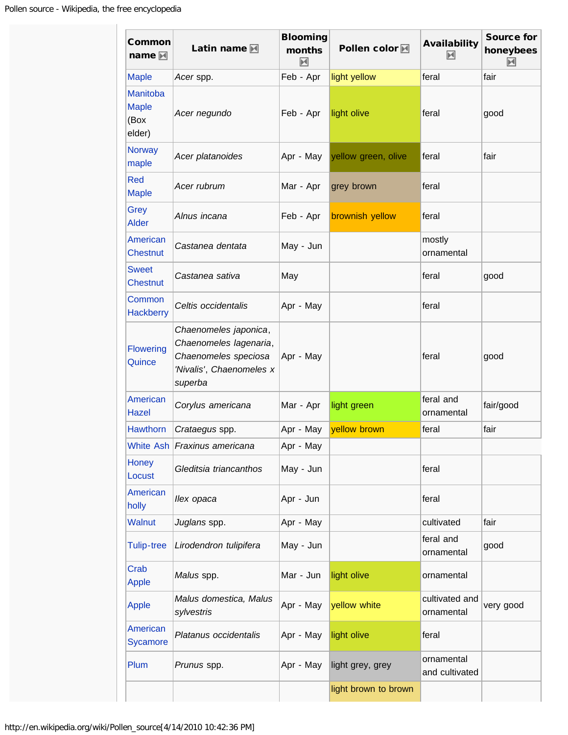| Common<br>name $\blacksquare$                     | Latin name $\blacksquare$                                                                                      | <b>Blooming</b><br>months<br>$\blacktriangleright$ | Pollen color <b>M</b> | Availability<br>$\blacktriangleright$ | <b>Source for</b><br>honeybees<br>M |
|---------------------------------------------------|----------------------------------------------------------------------------------------------------------------|----------------------------------------------------|-----------------------|---------------------------------------|-------------------------------------|
| <b>Maple</b>                                      | Acer spp.                                                                                                      | Feb - Apr                                          | light yellow          | feral                                 | fair                                |
| <b>Manitoba</b><br><b>Maple</b><br>(Box<br>elder) | Acer negundo                                                                                                   | Feb - Apr                                          | light olive           | feral                                 | good                                |
| <b>Norway</b><br>maple                            | Acer platanoides                                                                                               | Apr - May                                          | yellow green, olive   | feral                                 | fair                                |
| Red<br><b>Maple</b>                               | Acer rubrum                                                                                                    | Mar - Apr                                          | grey brown            | feral                                 |                                     |
| Grey<br><b>Alder</b>                              | Alnus incana                                                                                                   | Feb - Apr                                          | brownish yellow       | feral                                 |                                     |
| <b>American</b><br><b>Chestnut</b>                | Castanea dentata                                                                                               | May - Jun                                          |                       | mostly<br>ornamental                  |                                     |
| <b>Sweet</b><br><b>Chestnut</b>                   | Castanea sativa                                                                                                | May                                                |                       | feral                                 | good                                |
| Common<br><b>Hackberry</b>                        | Celtis occidentalis                                                                                            | Apr - May                                          |                       | feral                                 |                                     |
| <b>Flowering</b><br>Quince                        | Chaenomeles japonica,<br>Chaenomeles lagenaria,<br>Chaenomeles speciosa<br>'Nivalis', Chaenomeles x<br>superba | Apr - May                                          |                       | feral                                 | good                                |
| American<br><b>Hazel</b>                          | Corylus americana                                                                                              | Mar - Apr                                          | light green           | feral and<br>ornamental               | fair/good                           |
| <b>Hawthorn</b>                                   | Crataegus spp.                                                                                                 | Apr - May                                          | yellow brown          | feral                                 | fair                                |
|                                                   | White Ash Fraxinus americana                                                                                   | Apr - May                                          |                       |                                       |                                     |
| Honey<br>Locust                                   | Gleditsia triancanthos                                                                                         | May - Jun                                          |                       | feral                                 |                                     |
| American<br>holly                                 | llex opaca                                                                                                     | Apr - Jun                                          |                       | feral                                 |                                     |
| <b>Walnut</b>                                     | Juglans spp.                                                                                                   | Apr - May                                          |                       | cultivated                            | fair                                |
| <b>Tulip-tree</b>                                 | Lirodendron tulipifera                                                                                         | May - Jun                                          |                       | feral and<br>ornamental               | good                                |
| Crab<br>Apple                                     | Malus spp.                                                                                                     | Mar - Jun                                          | light olive           | ornamental                            |                                     |
| Apple                                             | Malus domestica, Malus<br>sylvestris                                                                           | Apr - May                                          | yellow white          | cultivated and<br>ornamental          | very good                           |
| American<br><b>Sycamore</b>                       | Platanus occidentalis                                                                                          | Apr - May                                          | light olive           | feral                                 |                                     |
| Plum                                              | Prunus spp.                                                                                                    | Apr - May                                          | light grey, grey      | ornamental<br>and cultivated          |                                     |
|                                                   |                                                                                                                |                                                    | light brown to brown  |                                       |                                     |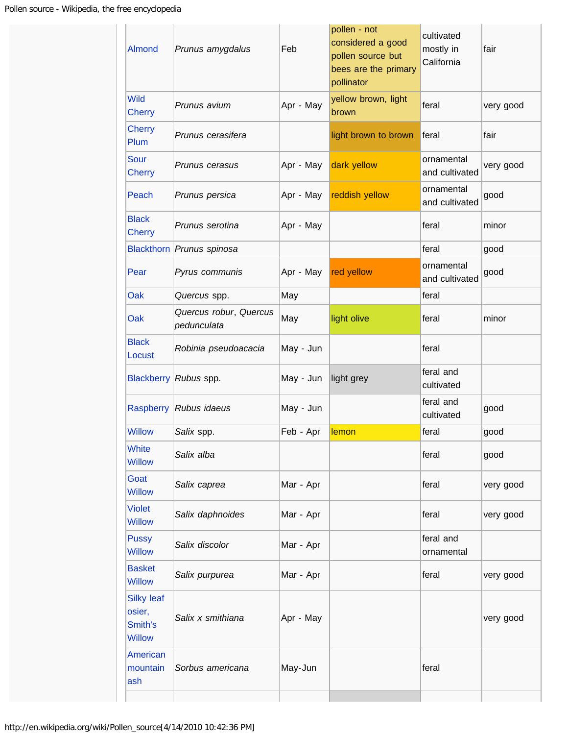| Almond                                                  | Prunus amygdalus                      | Feb       | pollen - not<br>considered a good<br>pollen source but<br>bees are the primary<br>pollinator | cultivated<br>mostly in<br>California | fair      |
|---------------------------------------------------------|---------------------------------------|-----------|----------------------------------------------------------------------------------------------|---------------------------------------|-----------|
| <b>Wild</b><br><b>Cherry</b>                            | Prunus avium                          | Apr - May | yellow brown, light<br>brown                                                                 | feral                                 | very good |
| <b>Cherry</b><br>Plum                                   | Prunus cerasifera                     |           | light brown to brown                                                                         | feral                                 | fair      |
| <b>Sour</b><br><b>Cherry</b>                            | Prunus cerasus                        | Apr - May | dark yellow                                                                                  | ornamental<br>and cultivated          | very good |
| Peach                                                   | Prunus persica                        | Apr - May | reddish yellow                                                                               | ornamental<br>and cultivated          | good      |
| <b>Black</b><br><b>Cherry</b>                           | Prunus serotina                       | Apr - May |                                                                                              | feral                                 | minor     |
| <b>Blackthorn</b>                                       | Prunus spinosa                        |           |                                                                                              | feral                                 | good      |
| Pear                                                    | Pyrus communis                        | Apr - May | red yellow                                                                                   | ornamental<br>and cultivated          | good      |
| Oak                                                     | Quercus spp.                          | May       |                                                                                              | feral                                 |           |
| Oak                                                     | Quercus robur, Quercus<br>pedunculata | May       | light olive                                                                                  | feral                                 | minor     |
| <b>Black</b><br>Locust                                  | Robinia pseudoacacia                  | May - Jun |                                                                                              | feral                                 |           |
|                                                         | Blackberry Rubus spp.                 | May - Jun | light grey                                                                                   | feral and<br>cultivated               |           |
| Raspberry                                               | Rubus idaeus                          | May - Jun |                                                                                              | feral and<br>cultivated               | good      |
| <b>Willow</b>                                           | Salix spp.                            | Feb - Apr | lemon                                                                                        | feral                                 | good      |
| <b>White</b><br><b>Willow</b>                           | Salix alba                            |           |                                                                                              | feral                                 | good      |
| Goat<br><b>Willow</b>                                   | Salix caprea                          | Mar - Apr |                                                                                              | feral                                 | very good |
| <b>Violet</b><br><b>Willow</b>                          | Salix daphnoides                      | Mar - Apr |                                                                                              | feral                                 | very good |
| <b>Pussy</b><br><b>Willow</b>                           | Salix discolor                        | Mar - Apr |                                                                                              | feral and<br>ornamental               |           |
| <b>Basket</b><br><b>Willow</b>                          | Salix purpurea                        | Mar - Apr |                                                                                              | feral                                 | very good |
| <b>Silky leaf</b><br>osier,<br>Smith's<br><b>Willow</b> | Salix x smithiana                     | Apr - May |                                                                                              |                                       | very good |
| American<br>mountain<br>ash                             | Sorbus americana                      | May-Jun   |                                                                                              | feral                                 |           |
|                                                         |                                       |           |                                                                                              |                                       |           |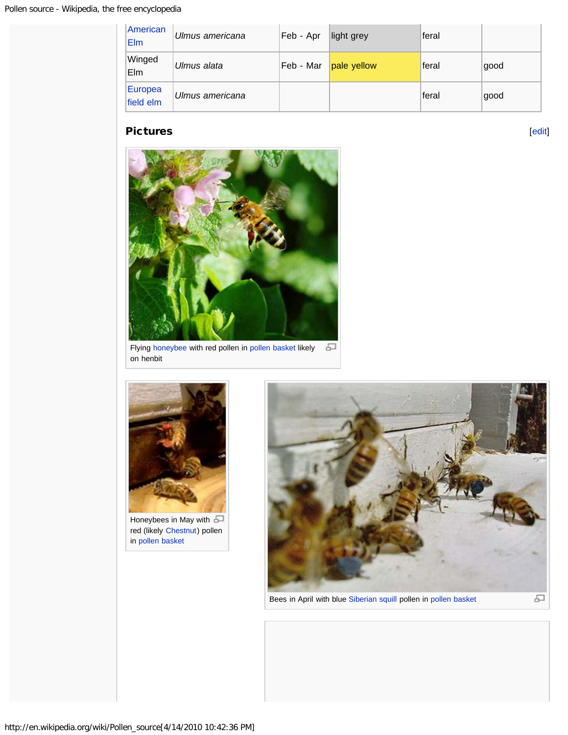| American<br><b>Elm</b>      | Ulmus americana | Feb - Apr | light grey  | feral  |      |
|-----------------------------|-----------------|-----------|-------------|--------|------|
| Winged<br>Elm               | Ulmus alata     | Feb - Mar | pale yellow | feral  | good |
| <b>Europea</b><br>field elm | Ulmus americana |           |             | lferal | good |

#### <span id="page-3-0"></span>Pictures

[[edit\]](http://en.wikipedia.org/w/index.php?title=Pollen_source&action=edit§ion=3)



Flying [honeybee](http://en.wikipedia.org/wiki/Honeybee) with red pollen in [pollen basket](http://en.wikipedia.org/wiki/Pollen_basket) likely 모 on henbit



Honeybees in May with  $\Box$ red (likely [Chestnut\)](http://en.wikipedia.org/wiki/Chestnut) pollen in [pollen basket](http://en.wikipedia.org/wiki/Pollen_basket)



Bees in April with blue [Siberian squill](http://en.wikipedia.org/wiki/Siberian_squill) pollen in [pollen basket](http://en.wikipedia.org/wiki/Pollen_basket)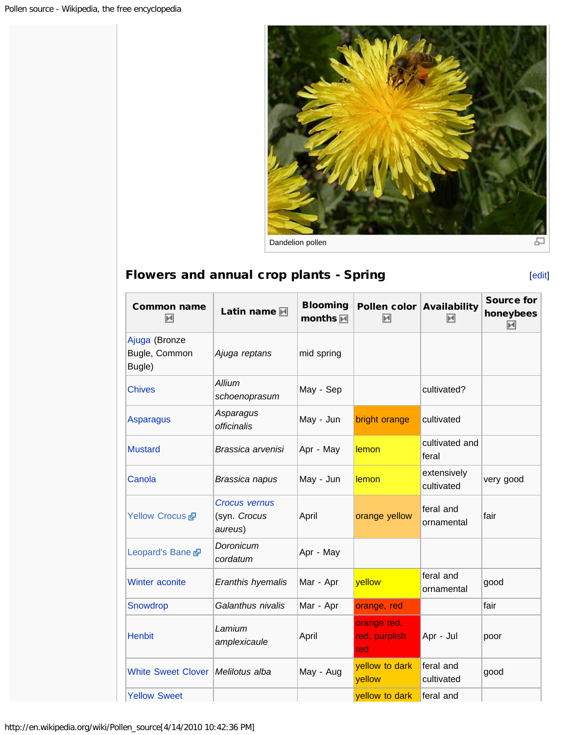

# <span id="page-4-0"></span>Flowers and annual crop plants - Spring **Example 2018** [[edit\]](http://en.wikipedia.org/w/index.php?title=Pollen_source&action=edit§ion=4)

| <b>Common name</b><br>网                  | Latin name M                                    | <b>Blooming</b><br>months <b>M</b> | Pollen color Availability<br>М      | 网                         | <b>Source for</b><br>honeybees<br>м |
|------------------------------------------|-------------------------------------------------|------------------------------------|-------------------------------------|---------------------------|-------------------------------------|
| Ajuga (Bronze<br>Bugle, Common<br>Bugle) | Ajuga reptans                                   | mid spring                         |                                     |                           |                                     |
| <b>Chives</b>                            | Allium<br>schoenoprasum                         | May - Sep                          |                                     | cultivated?               |                                     |
| <b>Asparagus</b>                         | Asparagus<br>officinalis                        | May - Jun                          | bright orange                       | cultivated                |                                     |
| <b>Mustard</b>                           | Brassica arvenisi                               | Apr - May                          | lemon                               | cultivated and<br>feral   |                                     |
| Canola                                   | Brassica napus                                  | May - Jun                          | lemon                               | extensively<br>cultivated | very good                           |
| Yellow Crocus &                          | <b>Crocus vernus</b><br>(syn. Crocus<br>aureus) | April                              | orange yellow                       | feral and<br>ornamental   | fair                                |
| Leopard's Bane                           | Doronicum<br>cordatum                           | Apr - May                          |                                     |                           |                                     |
| <b>Winter aconite</b>                    | Eranthis hyemalis                               | Mar - Apr                          | yellow                              | feral and<br>ornamental   | good                                |
| Snowdrop                                 | Galanthus nivalis                               | Mar - Apr                          | orange, red                         |                           | fair                                |
| <b>Henbit</b>                            | Lamium<br>amplexicaule                          | April                              | orange red,<br>red, purplish<br>red | Apr - Jul                 | poor                                |
| White Sweet Clover   Melilotus alba      |                                                 | May - Aug                          | yellow to dark<br>yellow            | feral and<br>cultivated   | good                                |
| <b>Yellow Sweet</b>                      |                                                 |                                    | yellow to dark                      | feral and                 |                                     |

http://en.wikipedia.org/wiki/Pollen\_source[4/14/2010 10:42:36 PM]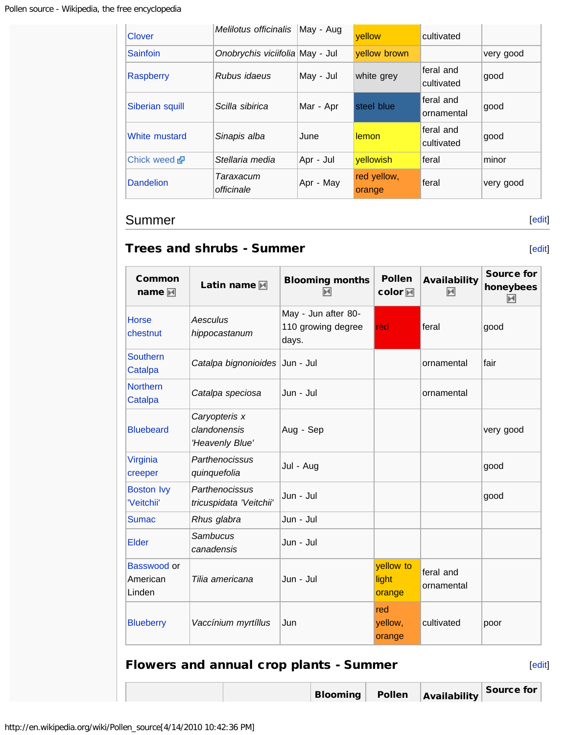| Clover                | Melilotus officinalis           | May - Aug | yellow                | cultivated              |           |
|-----------------------|---------------------------------|-----------|-----------------------|-------------------------|-----------|
| <b>Sainfoin</b>       | Onobrychis viciifolia May - Jul |           | yellow brown          |                         | very good |
| <b>Raspberry</b>      | Rubus idaeus                    | May - Jul | white grey            | feral and<br>cultivated | good      |
| Siberian squill       | Scilla sibirica                 | Mar - Apr | steel blue            | feral and<br>ornamental | good      |
| White mustard         | Sinapis alba                    | June      | lemon                 | feral and<br>cultivated | good      |
| Chick weed <i>ब</i> न | Stellaria media                 | Apr - Jul | <b>yellowish</b>      | feral                   | minor     |
| <b>Dandelion</b>      | Taraxacum<br>officinale         | Apr - May | red yellow,<br>orange | feral                   | very good |

### <span id="page-5-0"></span>Summer

### <span id="page-5-1"></span>Trees and shrubs - Summer

| Common<br>name $\blacksquare$     | Latin name M                                     | <b>Blooming months</b><br>м                        | <b>Pollen</b><br>color <b>网</b> | <b>Availability</b><br>M | <b>Source for</b><br>honeybees<br>М |
|-----------------------------------|--------------------------------------------------|----------------------------------------------------|---------------------------------|--------------------------|-------------------------------------|
| <b>Horse</b><br>chestnut          | Aesculus<br>hippocastanum                        | May - Jun after 80-<br>110 growing degree<br>days. | red                             | feral                    | good                                |
| <b>Southern</b><br>Catalpa        | Catalpa bignonioides Jun - Jul                   |                                                    |                                 | ornamental               | fair                                |
| <b>Northern</b><br>Catalpa        | Catalpa speciosa                                 | Jun - Jul                                          |                                 | ornamental               |                                     |
| <b>Bluebeard</b>                  | Caryopteris x<br>clandonensis<br>'Heavenly Blue' | Aug - Sep                                          |                                 |                          | very good                           |
| Virginia<br>creeper               | Parthenocissus<br>quinquefolia                   | Jul - Aug                                          |                                 |                          | good                                |
| <b>Boston Ivy</b><br>'Veitchii'   | Parthenocissus<br>tricuspidata 'Veitchii'        | Jun - Jul                                          |                                 |                          | good                                |
| <b>Sumac</b>                      | Rhus glabra                                      | Jun - Jul                                          |                                 |                          |                                     |
| Elder                             | Sambucus<br>canadensis                           | Jun - Jul                                          |                                 |                          |                                     |
| Basswood or<br>American<br>Linden | Tilia americana                                  | Jun - Jul                                          | yellow to<br>light<br>orange    | feral and<br>ornamental  |                                     |
| <b>Blueberry</b>                  | Vaccínium myrtíllus                              | Jun                                                | red<br>yellow,<br>orange        | cultivated               | poor                                |

# Flowers and annual crop plants - Summer

[[edit\]](http://en.wikipedia.org/w/index.php?title=Pollen_source&action=edit§ion=7)

[[edit\]](http://en.wikipedia.org/w/index.php?title=Pollen_source&action=edit§ion=5)

[[edit\]](http://en.wikipedia.org/w/index.php?title=Pollen_source&action=edit§ion=6)

Blooming Pollen Availability Source for

<span id="page-5-2"></span>http://en.wikipedia.org/wiki/Pollen\_source[4/14/2010 10:42:36 PM]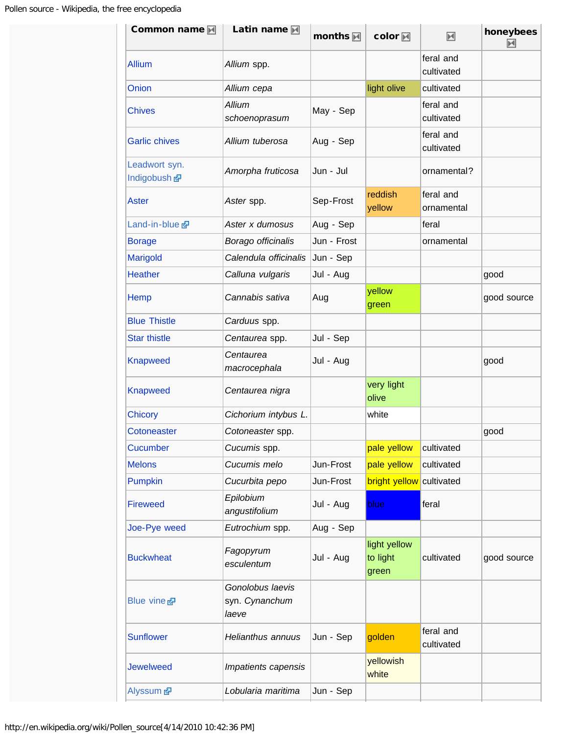| Common name <b>M</b>          | Latin name                                  | months <b>M</b> | color <b>M</b>                    | $\blacktriangleright$   | honeybees<br>$\blacktriangleright$ |
|-------------------------------|---------------------------------------------|-----------------|-----------------------------------|-------------------------|------------------------------------|
| <b>Allium</b>                 | Allium spp.                                 |                 |                                   | feral and<br>cultivated |                                    |
| Onion                         | Allium cepa                                 |                 | light olive                       | cultivated              |                                    |
| <b>Chives</b>                 | <b>Allium</b><br>schoenoprasum              | May - Sep       |                                   | feral and<br>cultivated |                                    |
| <b>Garlic chives</b>          | Allium tuberosa                             | Aug - Sep       |                                   | feral and<br>cultivated |                                    |
| Leadwort syn.<br>Indigobush & | Amorpha fruticosa                           | Jun - Jul       |                                   | ornamental?             |                                    |
| Aster                         | Aster spp.                                  | Sep-Frost       | reddish<br>yellow                 | feral and<br>ornamental |                                    |
| Land-in-blue                  | Aster x dumosus                             | Aug - Sep       |                                   | feral                   |                                    |
| <b>Borage</b>                 | Borago officinalis                          | Jun - Frost     |                                   | ornamental              |                                    |
| Marigold                      | Calendula officinalis                       | Jun - Sep       |                                   |                         |                                    |
| <b>Heather</b>                | Calluna vulgaris                            | Jul - Aug       |                                   |                         | good                               |
| Hemp                          | Cannabis sativa                             | Aug             | yellow<br>green                   |                         | good source                        |
| <b>Blue Thistle</b>           | Carduus spp.                                |                 |                                   |                         |                                    |
| <b>Star thistle</b>           | Centaurea spp.                              | Jul - Sep       |                                   |                         |                                    |
| <b>Knapweed</b>               | Centaurea<br>macrocephala                   | Jul - Aug       |                                   |                         | good                               |
| <b>Knapweed</b>               | Centaurea nigra                             |                 | very light<br>olive               |                         |                                    |
| <b>Chicory</b>                | Cichorium intybus L.                        |                 | white                             |                         |                                    |
| Cotoneaster                   | Cotoneaster spp.                            |                 |                                   |                         | good                               |
| Cucumber                      | Cucumis spp.                                |                 | pale yellow                       | cultivated              |                                    |
| <b>Melons</b>                 | Cucumis melo                                | Jun-Frost       | pale yellow                       | cultivated              |                                    |
| Pumpkin                       | Cucurbita pepo                              | Jun-Frost       | <b>bright yellow</b> cultivated   |                         |                                    |
| <b>Fireweed</b>               | Epilobium<br>angustifolium                  | Jul - Aug       | blue                              | feral                   |                                    |
| Joe-Pye weed                  | Eutrochium spp.                             | Aug - Sep       |                                   |                         |                                    |
| <b>Buckwheat</b>              | Fagopyrum<br>esculentum                     | Jul - Aug       | light yellow<br>to light<br>green | cultivated              | good source                        |
| Blue vine &                   | Gonolobus laevis<br>syn. Cynanchum<br>laeve |                 |                                   |                         |                                    |
| <b>Sunflower</b>              | Helianthus annuus                           | Jun - Sep       | golden                            | feral and<br>cultivated |                                    |
| <b>Jewelweed</b>              | Impatients capensis                         |                 | yellowish<br>white                |                         |                                    |
| Alyssum 图                     | Lobularia maritima                          | Jun - Sep       |                                   |                         |                                    |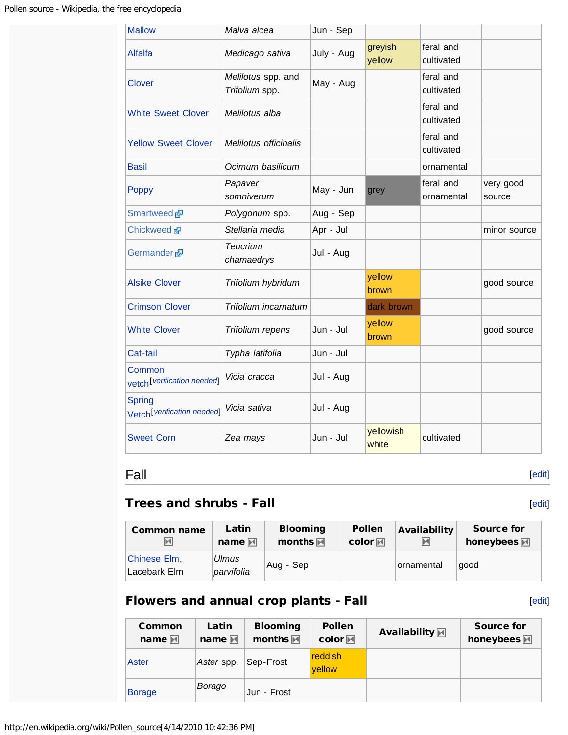| <b>Mallow</b>                                           | Malva alcea                          | Jun - Sep  |                    |                         |                     |
|---------------------------------------------------------|--------------------------------------|------------|--------------------|-------------------------|---------------------|
| <b>Alfalfa</b>                                          | Medicago sativa                      | July - Aug | greyish<br>yellow  | feral and<br>cultivated |                     |
| <b>Clover</b>                                           | Melilotus spp. and<br>Trifolium spp. | May - Aug  |                    | feral and<br>cultivated |                     |
| <b>White Sweet Clover</b>                               | Melilotus alba                       |            |                    | feral and<br>cultivated |                     |
| <b>Yellow Sweet Clover</b>                              | Melilotus officinalis                |            |                    | feral and<br>cultivated |                     |
| <b>Basil</b>                                            | Ocimum basilicum                     |            |                    | ornamental              |                     |
| Poppy                                                   | Papaver<br>somniverum                | May - Jun  | grey               | feral and<br>ornamental | very good<br>source |
| Smartweed                                               | Polygonum spp.                       | Aug - Sep  |                    |                         |                     |
| Chickweed <b>图</b>                                      | Stellaria media                      | Apr - Jul  |                    |                         | minor source        |
| Germander &                                             | Teucrium<br>chamaedrys               | Jul - Aug  |                    |                         |                     |
| <b>Alsike Clover</b>                                    | Trifolium hybridum                   |            | yellow<br>brown    |                         | good source         |
| <b>Crimson Clover</b>                                   | Trifolium incarnatum                 |            | dark brown         |                         |                     |
| <b>White Clover</b>                                     | Trifolium repens                     | Jun - Jul  | yellow<br>brown    |                         | good source         |
| Cat-tail                                                | Typha latifolia                      | Jun - Jul  |                    |                         |                     |
| Common<br>vetch <sup>[verification needed]</sup>        | Vicia cracca                         | Jul - Aug  |                    |                         |                     |
| <b>Spring</b><br>Vetch <sup>[verification</sup> needed] | Vicia sativa                         | Jul - Aug  |                    |                         |                     |
| <b>Sweet Corn</b>                                       | Zea mays                             | Jun - Jul  | yellowish<br>white | cultivated              |                     |

# <span id="page-7-0"></span>Fall

# <span id="page-7-1"></span>Trees and shrubs - Fall

| <b>Common name</b>           | Latin               | <b>Blooming</b>    | <b>Pollen</b>          | Availability | <b>Source for</b>     |
|------------------------------|---------------------|--------------------|------------------------|--------------|-----------------------|
| м                            | name $\mathbb M$    | months $\mathbb M$ | $color \ \blacksquare$ | м            | honeybees $\mathbb M$ |
| Chinese Elm,<br>Lacebark Elm | Ulmus<br>parvifolia | Aug - Sep          |                        | ornamental   | good                  |

# <span id="page-7-2"></span>Flowers and annual crop plants - Fall

| ۰.<br>× | . .<br>. . | × |  |
|---------|------------|---|--|

[[edit\]](http://en.wikipedia.org/w/index.php?title=Pollen_source&action=edit§ion=8)

[[edit\]](http://en.wikipedia.org/w/index.php?title=Pollen_source&action=edit§ion=9)

| Common<br>name $\blacksquare$ | Latin<br>name $\mathbb M$ | <b>Blooming</b><br>months $\overline{M}$ | <b>Pollen</b><br>$color@iMrightp{1}$ | Availability M | Source for<br>honeybees M |
|-------------------------------|---------------------------|------------------------------------------|--------------------------------------|----------------|---------------------------|
| Aster                         | Aster spp.                | ∣Sep-Frost                               | <b>reddish</b><br>vellow             |                |                           |
| <b>Borage</b>                 | Borago                    | Jun - Frost                              |                                      |                |                           |